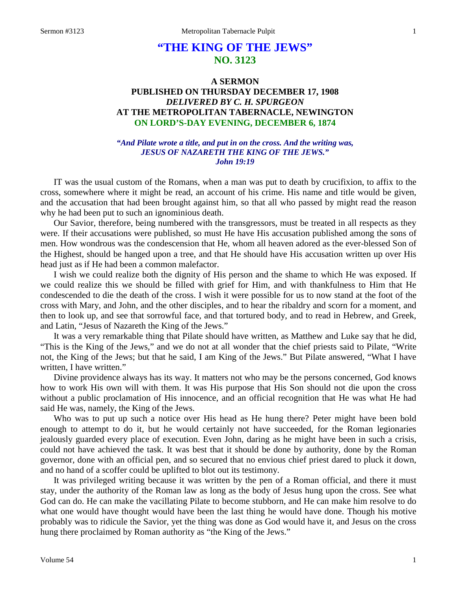# **"THE KING OF THE JEWS" NO. 3123**

# **A SERMON PUBLISHED ON THURSDAY DECEMBER 17, 1908** *DELIVERED BY C. H. SPURGEON* **AT THE METROPOLITAN TABERNACLE, NEWINGTON ON LORD'S-DAY EVENING, DECEMBER 6, 1874**

## *"And Pilate wrote a title, and put in on the cross. And the writing was, JESUS OF NAZARETH THE KING OF THE JEWS." John 19:19*

IT was the usual custom of the Romans, when a man was put to death by crucifixion, to affix to the cross, somewhere where it might be read, an account of his crime. His name and title would be given, and the accusation that had been brought against him, so that all who passed by might read the reason why he had been put to such an ignominious death.

Our Savior, therefore, being numbered with the transgressors, must be treated in all respects as they were. If their accusations were published, so must He have His accusation published among the sons of men. How wondrous was the condescension that He, whom all heaven adored as the ever-blessed Son of the Highest, should be hanged upon a tree, and that He should have His accusation written up over His head just as if He had been a common malefactor.

I wish we could realize both the dignity of His person and the shame to which He was exposed. If we could realize this we should be filled with grief for Him, and with thankfulness to Him that He condescended to die the death of the cross. I wish it were possible for us to now stand at the foot of the cross with Mary, and John, and the other disciples, and to hear the ribaldry and scorn for a moment, and then to look up, and see that sorrowful face, and that tortured body, and to read in Hebrew, and Greek, and Latin, "Jesus of Nazareth the King of the Jews."

It was a very remarkable thing that Pilate should have written, as Matthew and Luke say that he did, "This is the King of the Jews," and we do not at all wonder that the chief priests said to Pilate, "Write not, the King of the Jews; but that he said, I am King of the Jews." But Pilate answered, "What I have written, I have written."

Divine providence always has its way. It matters not who may be the persons concerned, God knows how to work His own will with them. It was His purpose that His Son should not die upon the cross without a public proclamation of His innocence, and an official recognition that He was what He had said He was, namely, the King of the Jews.

Who was to put up such a notice over His head as He hung there? Peter might have been bold enough to attempt to do it, but he would certainly not have succeeded, for the Roman legionaries jealously guarded every place of execution. Even John, daring as he might have been in such a crisis, could not have achieved the task. It was best that it should be done by authority, done by the Roman governor, done with an official pen, and so secured that no envious chief priest dared to pluck it down, and no hand of a scoffer could be uplifted to blot out its testimony.

It was privileged writing because it was written by the pen of a Roman official, and there it must stay, under the authority of the Roman law as long as the body of Jesus hung upon the cross. See what God can do. He can make the vacillating Pilate to become stubborn, and He can make him resolve to do what one would have thought would have been the last thing he would have done. Though his motive probably was to ridicule the Savior, yet the thing was done as God would have it, and Jesus on the cross hung there proclaimed by Roman authority as "the King of the Jews."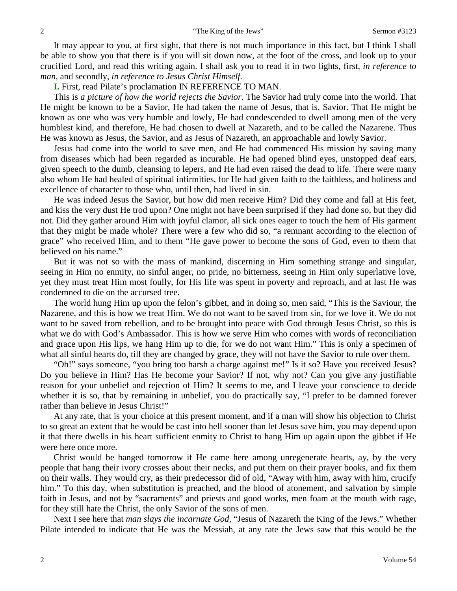It may appear to you, at first sight, that there is not much importance in this fact, but I think I shall be able to show you that there is if you will sit down now, at the foot of the cross, and look up to your crucified Lord, and read this writing again. I shall ask you to read it in two lights, first, *in reference to man,* and secondly, *in reference to Jesus Christ Himself.*

**I.** First, read Pilate's proclamation IN REFERENCE TO MAN.

This is *a picture of how the world rejects the Savior*. The Savior had truly come into the world. That He might be known to be a Savior, He had taken the name of Jesus, that is, Savior. That He might be known as one who was very humble and lowly, He had condescended to dwell among men of the very humblest kind, and therefore, He had chosen to dwell at Nazareth, and to be called the Nazarene. Thus He was known as Jesus, the Savior, and as Jesus of Nazareth, an approachable and lowly Savior.

Jesus had come into the world to save men, and He had commenced His mission by saving many from diseases which had been regarded as incurable. He had opened blind eyes, unstopped deaf ears, given speech to the dumb, cleansing to lepers, and He had even raised the dead to life. There were many also whom He had healed of spiritual infirmities, for He had given faith to the faithless, and holiness and excellence of character to those who, until then, had lived in sin.

He was indeed Jesus the Savior, but how did men receive Him? Did they come and fall at His feet, and kiss the very dust He trod upon? One might not have been surprised if they had done so, but they did not. Did they gather around Him with joyful clamor, all sick ones eager to touch the hem of His garment that they might be made whole? There were a few who did so, "a remnant according to the election of grace" who received Him, and to them "He gave power to become the sons of God, even to them that believed on his name."

But it was not so with the mass of mankind, discerning in Him something strange and singular, seeing in Him no enmity, no sinful anger, no pride, no bitterness, seeing in Him only superlative love, yet they must treat Him most foully, for His life was spent in poverty and reproach, and at last He was condemned to die on the accursed tree.

The world hung Him up upon the felon's gibbet, and in doing so, men said, "This is the Saviour, the Nazarene, and this is how we treat Him. We do not want to be saved from sin, for we love it. We do not want to be saved from rebellion, and to be brought into peace with God through Jesus Christ, so this is what we do with God's Ambassador. This is how we serve Him who comes with words of reconciliation and grace upon His lips, we hang Him up to die, for we do not want Him." This is only a specimen of what all sinful hearts do, till they are changed by grace, they will not have the Savior to rule over them.

"Oh!" says someone, "you bring too harsh a charge against me!" Is it so? Have you received Jesus? Do you believe in Him? Has He become your Savior? If not, why not? Can you give any justifiable reason for your unbelief and rejection of Him? It seems to me, and I leave your conscience to decide whether it is so, that by remaining in unbelief, you do practically say, "I prefer to be damned forever rather than believe in Jesus Christ!"

At any rate, that is your choice at this present moment, and if a man will show his objection to Christ to so great an extent that he would be cast into hell sooner than let Jesus save him, you may depend upon it that there dwells in his heart sufficient enmity to Christ to hang Him up again upon the gibbet if He were here once more.

Christ would be hanged tomorrow if He came here among unregenerate hearts, ay, by the very people that hang their ivory crosses about their necks, and put them on their prayer books, and fix them on their walls. They would cry, as their predecessor did of old, "Away with him, away with him, crucify him." To this day, when substitution is preached, and the blood of atonement, and salvation by simple faith in Jesus, and not by "sacraments" and priests and good works, men foam at the mouth with rage, for they still hate the Christ, the only Savior of the sons of men.

Next I see here that *man slays the incarnate God,* "Jesus of Nazareth the King of the Jews." Whether Pilate intended to indicate that He was the Messiah, at any rate the Jews saw that this would be the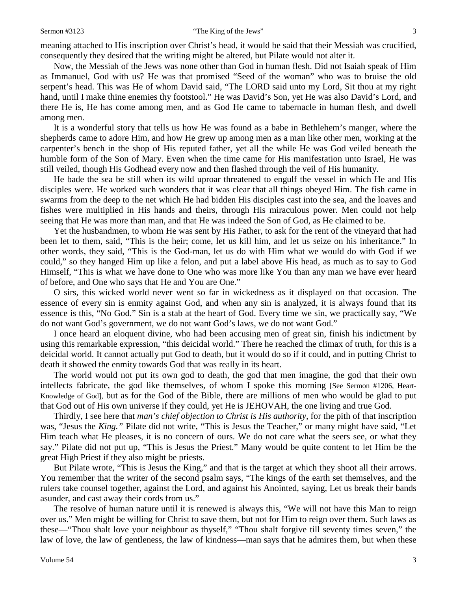meaning attached to His inscription over Christ's head, it would be said that their Messiah was crucified, consequently they desired that the writing might be altered, but Pilate would not alter it.

Now, the Messiah of the Jews was none other than God in human flesh. Did not Isaiah speak of Him as Immanuel, God with us? He was that promised "Seed of the woman" who was to bruise the old serpent's head. This was He of whom David said, "The LORD said unto my Lord, Sit thou at my right hand, until I make thine enemies thy footstool." He was David's Son, yet He was also David's Lord, and there He is, He has come among men, and as God He came to tabernacle in human flesh, and dwell among men.

It is a wonderful story that tells us how He was found as a babe in Bethlehem's manger, where the shepherds came to adore Him, and how He grew up among men as a man like other men, working at the carpenter's bench in the shop of His reputed father, yet all the while He was God veiled beneath the humble form of the Son of Mary. Even when the time came for His manifestation unto Israel, He was still veiled, though His Godhead every now and then flashed through the veil of His humanity.

He bade the sea be still when its wild uproar threatened to engulf the vessel in which He and His disciples were. He worked such wonders that it was clear that all things obeyed Him. The fish came in swarms from the deep to the net which He had bidden His disciples cast into the sea, and the loaves and fishes were multiplied in His hands and theirs, through His miraculous power. Men could not help seeing that He was more than man, and that He was indeed the Son of God, as He claimed to be.

Yet the husbandmen, to whom He was sent by His Father, to ask for the rent of the vineyard that had been let to them, said, "This is the heir; come, let us kill him, and let us seize on his inheritance." In other words, they said, "This is the God-man, let us do with Him what we would do with God if we could," so they hanged Him up like a felon, and put a label above His head, as much as to say to God Himself, "This is what we have done to One who was more like You than any man we have ever heard of before, and One who says that He and You are One."

O sirs, this wicked world never went so far in wickedness as it displayed on that occasion. The essence of every sin is enmity against God, and when any sin is analyzed, it is always found that its essence is this, "No God." Sin is a stab at the heart of God. Every time we sin, we practically say, "We do not want God's government, we do not want God's laws, we do not want God."

I once heard an eloquent divine, who had been accusing men of great sin, finish his indictment by using this remarkable expression, "this deicidal world." There he reached the climax of truth, for this is a deicidal world. It cannot actually put God to death, but it would do so if it could, and in putting Christ to death it showed the enmity towards God that was really in its heart.

The world would not put its own god to death, the god that men imagine, the god that their own intellects fabricate, the god like themselves, of whom I spoke this morning [See Sermon #1206, Heart-Knowledge of God], but as for the God of the Bible, there are millions of men who would be glad to put that God out of His own universe if they could, yet He is JEHOVAH, the one living and true God.

Thirdly, I see here that *man's chief objection to Christ is His authority,* for the pith of that inscription was, "Jesus the *King."* Pilate did not write, "This is Jesus the Teacher," or many might have said, "Let Him teach what He pleases, it is no concern of ours. We do not care what the seers see, or what they say." Pilate did not put up, "This is Jesus the Priest." Many would be quite content to let Him be the great High Priest if they also might be priests.

But Pilate wrote, "This is Jesus the King," and that is the target at which they shoot all their arrows. You remember that the writer of the second psalm says, "The kings of the earth set themselves, and the rulers take counsel together, against the Lord, and against his Anointed, saying, Let us break their bands asunder, and cast away their cords from us."

The resolve of human nature until it is renewed is always this, "We will not have this Man to reign over us." Men might be willing for Christ to save them, but not for Him to reign over them. Such laws as these—"Thou shalt love your neighbour as thyself," "Thou shalt forgive till seventy times seven," the law of love, the law of gentleness, the law of kindness—man says that he admires them, but when these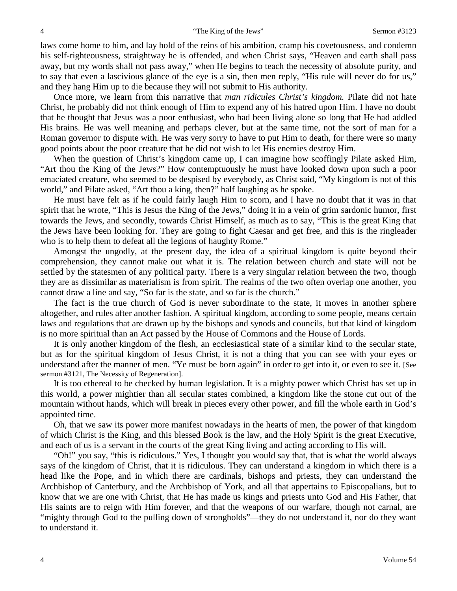laws come home to him, and lay hold of the reins of his ambition, cramp his covetousness, and condemn his self-righteousness, straightway he is offended, and when Christ says, "Heaven and earth shall pass away, but my words shall not pass away," when He begins to teach the necessity of absolute purity, and to say that even a lascivious glance of the eye is a sin, then men reply, "His rule will never do for us," and they hang Him up to die because they will not submit to His authority.

Once more, we learn from this narrative that *man ridicules Christ's kingdom.* Pilate did not hate Christ, he probably did not think enough of Him to expend any of his hatred upon Him. I have no doubt that he thought that Jesus was a poor enthusiast, who had been living alone so long that He had addled His brains. He was well meaning and perhaps clever, but at the same time, not the sort of man for a Roman governor to dispute with. He was very sorry to have to put Him to death, for there were so many good points about the poor creature that he did not wish to let His enemies destroy Him.

When the question of Christ's kingdom came up, I can imagine how scoffingly Pilate asked Him, "Art thou the King of the Jews?" How contemptuously he must have looked down upon such a poor emaciated creature, who seemed to be despised by everybody, as Christ said, "My kingdom is not of this world," and Pilate asked, "Art thou a king, then?" half laughing as he spoke.

He must have felt as if he could fairly laugh Him to scorn, and I have no doubt that it was in that spirit that he wrote, "This is Jesus the King of the Jews," doing it in a vein of grim sardonic humor, first towards the Jews, and secondly, towards Christ Himself, as much as to say, "This is the great King that the Jews have been looking for. They are going to fight Caesar and get free, and this is the ringleader who is to help them to defeat all the legions of haughty Rome."

Amongst the ungodly, at the present day, the idea of a spiritual kingdom is quite beyond their comprehension, they cannot make out what it is. The relation between church and state will not be settled by the statesmen of any political party. There is a very singular relation between the two, though they are as dissimilar as materialism is from spirit. The realms of the two often overlap one another, you cannot draw a line and say, "So far is the state, and so far is the church."

The fact is the true church of God is never subordinate to the state, it moves in another sphere altogether, and rules after another fashion. A spiritual kingdom, according to some people, means certain laws and regulations that are drawn up by the bishops and synods and councils, but that kind of kingdom is no more spiritual than an Act passed by the House of Commons and the House of Lords.

It is only another kingdom of the flesh, an ecclesiastical state of a similar kind to the secular state, but as for the spiritual kingdom of Jesus Christ, it is not a thing that you can see with your eyes or understand after the manner of men. "Ye must be born again" in order to get into it, or even to see it. [See sermon #3121, The Necessity of Regeneration].

It is too ethereal to be checked by human legislation. It is a mighty power which Christ has set up in this world, a power mightier than all secular states combined, a kingdom like the stone cut out of the mountain without hands, which will break in pieces every other power, and fill the whole earth in God's appointed time.

Oh, that we saw its power more manifest nowadays in the hearts of men, the power of that kingdom of which Christ is the King, and this blessed Book is the law, and the Holy Spirit is the great Executive, and each of us is a servant in the courts of the great King living and acting according to His will.

"Oh!" you say, "this is ridiculous." Yes, I thought you would say that, that is what the world always says of the kingdom of Christ, that it is ridiculous. They can understand a kingdom in which there is a head like the Pope, and in which there are cardinals, bishops and priests, they can understand the Archbishop of Canterbury, and the Archbishop of York, and all that appertains to Episcopalians, but to know that we are one with Christ, that He has made us kings and priests unto God and His Father, that His saints are to reign with Him forever, and that the weapons of our warfare, though not carnal, are "mighty through God to the pulling down of strongholds"—they do not understand it, nor do they want to understand it.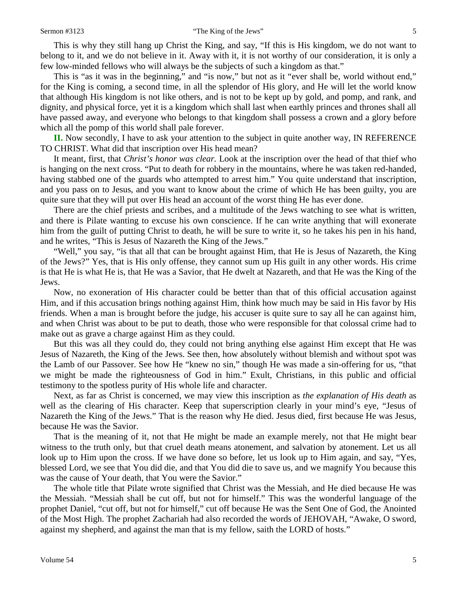#### Sermon #3123 "The King of the Jews" 5

This is why they still hang up Christ the King, and say, "If this is His kingdom, we do not want to belong to it, and we do not believe in it. Away with it, it is not worthy of our consideration, it is only a few low-minded fellows who will always be the subjects of such a kingdom as that."

This is "as it was in the beginning," and "is now," but not as it "ever shall be, world without end," for the King is coming, a second time, in all the splendor of His glory, and He will let the world know that although His kingdom is not like others, and is not to be kept up by gold, and pomp, and rank, and dignity, and physical force, yet it is a kingdom which shall last when earthly princes and thrones shall all have passed away, and everyone who belongs to that kingdom shall possess a crown and a glory before which all the pomp of this world shall pale forever.

**II.** Now secondly, I have to ask your attention to the subject in quite another way, IN REFERENCE TO CHRIST. What did that inscription over His head mean?

It meant, first, that *Christ's honor was clear.* Look at the inscription over the head of that thief who is hanging on the next cross. "Put to death for robbery in the mountains, where he was taken red-handed, having stabbed one of the guards who attempted to arrest him." You quite understand that inscription, and you pass on to Jesus, and you want to know about the crime of which He has been guilty, you are quite sure that they will put over His head an account of the worst thing He has ever done.

There are the chief priests and scribes, and a multitude of the Jews watching to see what is written, and there is Pilate wanting to excuse his own conscience. If he can write anything that will exonerate him from the guilt of putting Christ to death, he will be sure to write it, so he takes his pen in his hand, and he writes, "This is Jesus of Nazareth the King of the Jews."

"Well," you say, "is that all that can be brought against Him, that He is Jesus of Nazareth, the King of the Jews?" Yes, that is His only offense, they cannot sum up His guilt in any other words. His crime is that He is what He is, that He was a Savior, that He dwelt at Nazareth, and that He was the King of the Jews.

Now, no exoneration of His character could be better than that of this official accusation against Him, and if this accusation brings nothing against Him, think how much may be said in His favor by His friends. When a man is brought before the judge, his accuser is quite sure to say all he can against him, and when Christ was about to be put to death, those who were responsible for that colossal crime had to make out as grave a charge against Him as they could.

But this was all they could do, they could not bring anything else against Him except that He was Jesus of Nazareth, the King of the Jews. See then, how absolutely without blemish and without spot was the Lamb of our Passover. See how He "knew no sin," though He was made a sin-offering for us, "that we might be made the righteousness of God in him." Exult, Christians, in this public and official testimony to the spotless purity of His whole life and character.

Next, as far as Christ is concerned, we may view this inscription as *the explanation of His death* as well as the clearing of His character. Keep that superscription clearly in your mind's eye, "Jesus of Nazareth the King of the Jews." That is the reason why He died. Jesus died, first because He was Jesus, because He was the Savior.

That is the meaning of it, not that He might be made an example merely, not that He might bear witness to the truth only, but that cruel death means atonement, and salvation by atonement. Let us all look up to Him upon the cross. If we have done so before, let us look up to Him again, and say, "Yes, blessed Lord, we see that You did die, and that You did die to save us, and we magnify You because this was the cause of Your death, that You were the Savior."

The whole title that Pilate wrote signified that Christ was the Messiah, and He died because He was the Messiah. "Messiah shall be cut off, but not for himself." This was the wonderful language of the prophet Daniel, "cut off, but not for himself," cut off because He was the Sent One of God, the Anointed of the Most High. The prophet Zachariah had also recorded the words of JEHOVAH, "Awake, O sword, against my shepherd, and against the man that is my fellow, saith the LORD of hosts."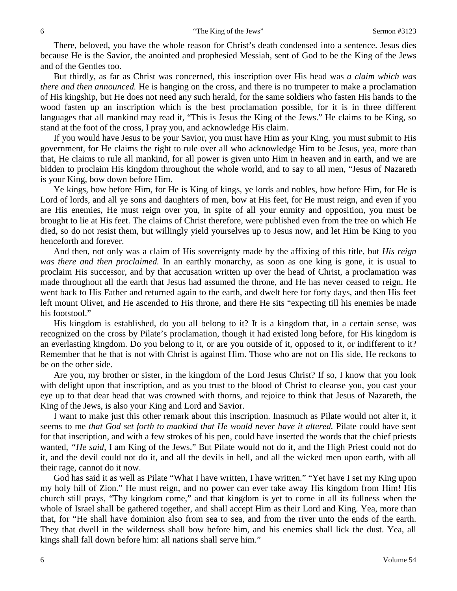There, beloved, you have the whole reason for Christ's death condensed into a sentence. Jesus dies because He is the Savior, the anointed and prophesied Messiah, sent of God to be the King of the Jews and of the Gentles too.

But thirdly, as far as Christ was concerned, this inscription over His head was *a claim which was there and then announced.* He is hanging on the cross, and there is no trumpeter to make a proclamation of His kingship, but He does not need any such herald, for the same soldiers who fasten His hands to the wood fasten up an inscription which is the best proclamation possible, for it is in three different languages that all mankind may read it, "This is Jesus the King of the Jews." He claims to be King, so stand at the foot of the cross, I pray you, and acknowledge His claim.

If you would have Jesus to be your Savior, you must have Him as your King, you must submit to His government, for He claims the right to rule over all who acknowledge Him to be Jesus, yea, more than that, He claims to rule all mankind, for all power is given unto Him in heaven and in earth, and we are bidden to proclaim His kingdom throughout the whole world, and to say to all men, "Jesus of Nazareth is your King, bow down before Him.

Ye kings, bow before Him, for He is King of kings, ye lords and nobles, bow before Him, for He is Lord of lords, and all ye sons and daughters of men, bow at His feet, for He must reign, and even if you are His enemies, He must reign over you, in spite of all your enmity and opposition, you must be brought to lie at His feet. The claims of Christ therefore, were published even from the tree on which He died, so do not resist them, but willingly yield yourselves up to Jesus now, and let Him be King to you henceforth and forever.

And then, not only was a claim of His sovereignty made by the affixing of this title, but *His reign was there and then proclaimed.* In an earthly monarchy, as soon as one king is gone, it is usual to proclaim His successor, and by that accusation written up over the head of Christ, a proclamation was made throughout all the earth that Jesus had assumed the throne, and He has never ceased to reign. He went back to His Father and returned again to the earth, and dwelt here for forty days, and then His feet left mount Olivet, and He ascended to His throne, and there He sits "expecting till his enemies be made his footstool."

His kingdom is established, do you all belong to it? It is a kingdom that, in a certain sense, was recognized on the cross by Pilate's proclamation, though it had existed long before, for His kingdom is an everlasting kingdom. Do you belong to it, or are you outside of it, opposed to it, or indifferent to it? Remember that he that is not with Christ is against Him. Those who are not on His side, He reckons to be on the other side.

Are you, my brother or sister, in the kingdom of the Lord Jesus Christ? If so, I know that you look with delight upon that inscription, and as you trust to the blood of Christ to cleanse you, you cast your eye up to that dear head that was crowned with thorns, and rejoice to think that Jesus of Nazareth, the King of the Jews, is also your King and Lord and Savior.

I want to make just this other remark about this inscription. Inasmuch as Pilate would not alter it, it seems to me *that God set forth to mankind that He would never have it altered*. Pilate could have sent for that inscription, and with a few strokes of his pen, could have inserted the words that the chief priests wanted, *"He said,* I am King of the Jews." But Pilate would not do it, and the High Priest could not do it, and the devil could not do it, and all the devils in hell, and all the wicked men upon earth, with all their rage, cannot do it now.

God has said it as well as Pilate "What I have written, I have written." "Yet have I set my King upon my holy hill of Zion." He must reign, and no power can ever take away His kingdom from Him! His church still prays, "Thy kingdom come," and that kingdom is yet to come in all its fullness when the whole of Israel shall be gathered together, and shall accept Him as their Lord and King. Yea, more than that, for "He shall have dominion also from sea to sea, and from the river unto the ends of the earth. They that dwell in the wilderness shall bow before him, and his enemies shall lick the dust. Yea, all kings shall fall down before him: all nations shall serve him."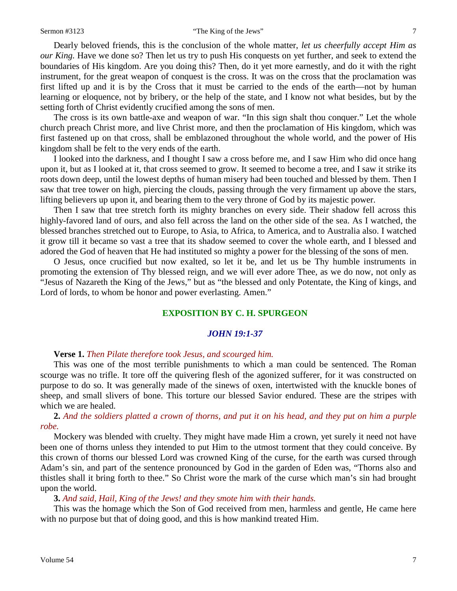#### Sermon #3123 **The King of the Jews**" 7 The King of the Jews" 7

Dearly beloved friends, this is the conclusion of the whole matter, *let us cheerfully accept Him as our King.* Have we done so? Then let us try to push His conquests on yet further, and seek to extend the boundaries of His kingdom. Are you doing this? Then, do it yet more earnestly, and do it with the right instrument, for the great weapon of conquest is the cross. It was on the cross that the proclamation was first lifted up and it is by the Cross that it must be carried to the ends of the earth—not by human learning or eloquence, not by bribery, or the help of the state, and I know not what besides, but by the setting forth of Christ evidently crucified among the sons of men.

The cross is its own battle-axe and weapon of war. "In this sign shalt thou conquer." Let the whole church preach Christ more, and live Christ more, and then the proclamation of His kingdom, which was first fastened up on that cross, shall be emblazoned throughout the whole world, and the power of His kingdom shall be felt to the very ends of the earth.

I looked into the darkness, and I thought I saw a cross before me, and I saw Him who did once hang upon it, but as I looked at it, that cross seemed to grow. It seemed to become a tree, and I saw it strike its roots down deep, until the lowest depths of human misery had been touched and blessed by them. Then I saw that tree tower on high, piercing the clouds, passing through the very firmament up above the stars, lifting believers up upon it, and bearing them to the very throne of God by its majestic power.

Then I saw that tree stretch forth its mighty branches on every side. Their shadow fell across this highly-favored land of ours, and also fell across the land on the other side of the sea. As I watched, the blessed branches stretched out to Europe, to Asia, to Africa, to America, and to Australia also. I watched it grow till it became so vast a tree that its shadow seemed to cover the whole earth, and I blessed and adored the God of heaven that He had instituted so mighty a power for the blessing of the sons of men.

O Jesus, once crucified but now exalted, so let it be, and let us be Thy humble instruments in promoting the extension of Thy blessed reign, and we will ever adore Thee, as we do now, not only as "Jesus of Nazareth the King of the Jews," but as "the blessed and only Potentate, the King of kings, and Lord of lords, to whom be honor and power everlasting. Amen."

## **EXPOSITION BY C. H. SPURGEON**

## *JOHN 19:1-37*

### **Verse 1.** *Then Pilate therefore took Jesus, and scourged him.*

This was one of the most terrible punishments to which a man could be sentenced. The Roman scourge was no trifle. It tore off the quivering flesh of the agonized sufferer, for it was constructed on purpose to do so. It was generally made of the sinews of oxen, intertwisted with the knuckle bones of sheep, and small slivers of bone. This torture our blessed Savior endured. These are the stripes with which we are healed.

## **2.** *And the soldiers platted a crown of thorns, and put it on his head, and they put on him a purple robe.*

Mockery was blended with cruelty. They might have made Him a crown, yet surely it need not have been one of thorns unless they intended to put Him to the utmost torment that they could conceive. By this crown of thorns our blessed Lord was crowned King of the curse, for the earth was cursed through Adam's sin, and part of the sentence pronounced by God in the garden of Eden was, "Thorns also and thistles shall it bring forth to thee." So Christ wore the mark of the curse which man's sin had brought upon the world.

#### **3.** *And said, Hail, King of the Jews! and they smote him with their hands.*

This was the homage which the Son of God received from men, harmless and gentle, He came here with no purpose but that of doing good, and this is how mankind treated Him.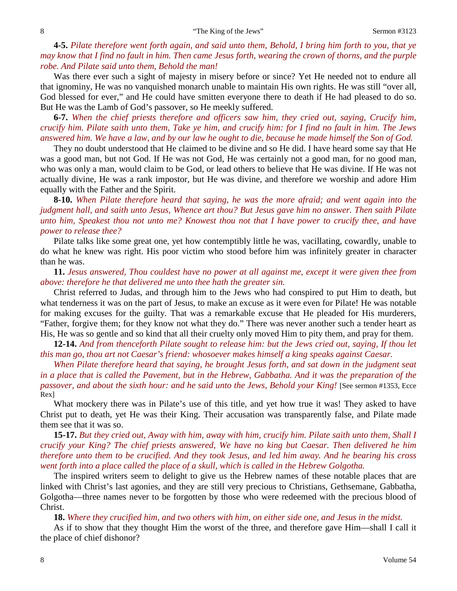**4-5.** *Pilate therefore went forth again, and said unto them, Behold, I bring him forth to you, that ye may know that I find no fault in him. Then came Jesus forth, wearing the crown of thorns, and the purple robe. And Pilate said unto them, Behold the man!*

Was there ever such a sight of majesty in misery before or since? Yet He needed not to endure all that ignominy, He was no vanquished monarch unable to maintain His own rights. He was still "over all, God blessed for ever," and He could have smitten everyone there to death if He had pleased to do so. But He was the Lamb of God's passover, so He meekly suffered.

**6-7.** *When the chief priests therefore and officers saw him, they cried out, saying, Crucify him, crucify him. Pilate saith unto them, Take ye him, and crucify him: for I find no fault in him. The Jews answered him. We have a law, and by our law he ought to die, because he made himself the Son of God.*

They no doubt understood that He claimed to be divine and so He did. I have heard some say that He was a good man, but not God. If He was not God, He was certainly not a good man, for no good man, who was only a man, would claim to be God, or lead others to believe that He was divine. If He was not actually divine, He was a rank impostor, but He was divine, and therefore we worship and adore Him equally with the Father and the Spirit.

**8-10.** *When Pilate therefore heard that saying, he was the more afraid; and went again into the judgment hall, and saith unto Jesus, Whence art thou? But Jesus gave him no answer. Then saith Pilate unto him, Speakest thou not unto me? Knowest thou not that I have power to crucify thee, and have power to release thee?*

Pilate talks like some great one, yet how contemptibly little he was, vacillating, cowardly, unable to do what he knew was right. His poor victim who stood before him was infinitely greater in character than he was.

**11.** *Jesus answered, Thou couldest have no power at all against me, except it were given thee from above: therefore he that delivered me unto thee hath the greater sin.*

Christ referred to Judas, and through him to the Jews who had conspired to put Him to death, but what tenderness it was on the part of Jesus, to make an excuse as it were even for Pilate! He was notable for making excuses for the guilty. That was a remarkable excuse that He pleaded for His murderers, "Father, forgive them; for they know not what they do." There was never another such a tender heart as His, He was so gentle and so kind that all their cruelty only moved Him to pity them, and pray for them.

**12-14.** *And from thenceforth Pilate sought to release him: but the Jews cried out, saying, If thou let this man go, thou art not Caesar's friend: whosoever makes himself a king speaks against Caesar.* 

*When Pilate therefore heard that saying, he brought Jesus forth, and sat down in the judgment seat in a place that is called the Pavement, but in the Hebrew, Gabbatha. And it was the preparation of the*  passover, and about the sixth hour: and he said unto the Jews, Behold your King! [See sermon #1353, Ecce Rex]

What mockery there was in Pilate's use of this title, and yet how true it was! They asked to have Christ put to death, yet He was their King. Their accusation was transparently false, and Pilate made them see that it was so.

**15-17.** *But they cried out, Away with him, away with him, crucify him. Pilate saith unto them, Shall I crucify your King? The chief priests answered, We have no king but Caesar. Then delivered he him therefore unto them to be crucified. And they took Jesus, and led him away. And he bearing his cross went forth into a place called the place of a skull, which is called in the Hebrew Golgotha.*

The inspired writers seem to delight to give us the Hebrew names of these notable places that are linked with Christ's last agonies, and they are still very precious to Christians, Gethsemane, Gabbatha, Golgotha—three names never to be forgotten by those who were redeemed with the precious blood of Christ.

**18.** *Where they crucified him, and two others with him, on either side one, and Jesus in the midst.*

As if to show that they thought Him the worst of the three, and therefore gave Him—shall I call it the place of chief dishonor?